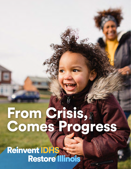# From Crisis, Comes Progress

Reinvent IDHS<br>Restore Illinois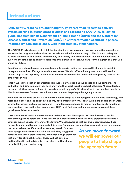# **Introduction**

IDHS swiftly, responsibly, and thoughtfully transformed its service delivery system starting in March 2020 to adapt and respond to COVID-19, following guidelines from Illinois Department of Public Health (IDPH) and the Centers for Disease Control and Prevention (CDC). This transformation occurred in phases informed by data and science, with input from key stakeholders.

**The COVID-19 crisis forced us to think harder about who we serve and how we can better serve them. We know the programs and services we provide are valued and necessary to Illinois' social safety net, as more than one in four people in Illinois rely on us every day. We also know that we must continue to evolve to meet the needs of Illinois residents and, during this crisis, we have learned a great deal that will shape our future.**

**Specifically, we have learned some customers thrive with online services, so IDHS plans to maintain or expand our online offerings where it makes sense. We also affirmed many customers still need inperson help, so we're putting in place safety measures to meet their needs without putting them or our employees at risk.** 

**Finally, we learned that an organization like ours is only as good as our people and our partners. The dedication and determination they have shown to their work is nothing short of heroic. At considerable personal risk they have continued to provide a broad range of critical services to the neediest people in Illinois. As we move forward, we will empower them to help shape the agency's future.**

**Even before COVID-19 struck, we knew IDHS had to adapt to a changing world with more technology and more challenges, and the pandemic has only accelerated our work. Today, with more people out of work, stress, depression, and related problems – from domestic violence to mental health crises to substance use disorders – are on the rise. In response, IDHS must find new and innovative ways to meet these growing social service needs.**

**IDHS's framework builds upon Governor Pritzker's Restore Illinois plan. Further, it seeks to inspire new thinking and to retain the "best" lessons and practices from the COVID-19 experience to create a stronger human services system for the future. We acknowledge that our own operations have been forever transformed by our response to this crisis. For some of our employees, remote work may remain** 

**the norm. Where in-office services resume, we will focus on developing sustainable safety solutions including staggered start and end times, staff rotations, and office design elements that allow for physical distance. These will not only be a matter of health and public safety, but also a matter of longterm flexibility and productivity.**

**As we move forward, we will empower our people to help shape the agency's future.**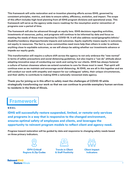**This framework will unite restoration and re-invention planning efforts across IDHS, governed by consistent principles, metrics, and data to ensure safety, efficiency, evolution, and impact. The scope of this effort includes high-level planning from all IDHS program divisions and operational areas. This framework will serve as the agency-wide macro roadmap for the resumption and/or reinvention of programs over a period of time.** 

**The framework will also be advanced through an equity lens. IDHS decisions regarding activities, investments of resources, policy, and programs will continue to be informed by data and focus on meeting the needs of those most impacted by COVID-19. It will also address racial/geographic/ethnic/ disability/residency disproportionate impacts and outcomes. Equity explicitly means equity in outcomes, not equity in resources. The fact is, some communities need more help than others in order to achieve anything close to equitable outcomes, so we will always be asking whether our investments advance or impede our equity goals.**

**This transformation will require a culture shift across the agency to not only embrace the "new normal" in terms of safety precautions and social distancing guidelines, but also inspire a "can do" attitude about adopting innovative ways of conducting our work and caring for our clients. IDHS has always fostered a culture of human closeness where we extend ourselves to care for those most in need. That spirit will continue even as we maintain and encourage social distancing. At IDHS, we are all in this together and we will conduct our work with empathy and respect for our colleagues' safety, their unique circumstances, and their ability to contribute to making IDHS a nationally renowned state agency.**

**Thank you for joining us in this effort to safely meet the challenges of COVID-19 while strategically transforming our work so that we can continue to provide exemplary human services to residents in the State of Illinois.**

# Framework

# GOAL

IDHS will successfully restore suspended, limited, or remote-only services and programs in a way that is responsive to the changed environment, ensures optimal safety of employees and clients, and leverages the opportunity to reinvent program models to reflect client and agency need.

**Progress toward restoration will be guided by data and responsive to changing safety needs based on three primary indicators.**



**IDPH Critical Regions & Zip Codes**



**Trends in Client & Staff Positivity**

**Client Impact Indicators**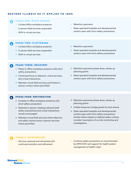# RESTORE ILLINOIS AS IT APPLIES TO IDHS

# PHASE ONE: RAPID SPREAD

- + Limited office workplace presence
- + In person field services suspended
- + Shift to virtual services

### + Retention payments

+ State operated hospitals and developmental centers open with strict safety precautions

## PHASE TWO: FLATTENING

- + Limited office workplace presence
- + In person field services suspended
- + Shift to virtual services

 $\bullet$ 

- + Retention payments
- + State operated hospitals and developmental centers open with strict safety precautions

#### 6 PHASE THREE: RECOVERY

- + Phase in office workplace presence with strict safety precautions
- + Continued focus on telework, online services, and virtual interactions
- + Maintain virtual field services and limited inperson contact where permitted
- + Retention payments phase down, phase up planning grants
- + State operated hospitals and developmental centers open with strict safety precautions

#### $\bullet$ PHASE FOUR: RESTORATION

- + Increase in office workplace presence with strict safety precautions
- + Selective in person meetings allowed (with safety precautions) and virtual interactions remain encouraged
- + Maintain virtual field services where effective and safely resume some in person services where permitted
- + Retention payments phase down, phase up planning grants
- + Initiate temporary bridge grants for shut-downs
- + State operated hospitals and developmental centers open with strict safety precautions; limited visitors based on defined safety criteria; consider resumption of on-site monitoring and investigations

# PHASE 5: REINVENTION

- + Services restored and reinvented with continued evolution and refinement
- + Continue safety precautions as recommended by IDPH/CDC and support for health system management of health crises

**Reinvent IDHS Restore Illinois** 

5